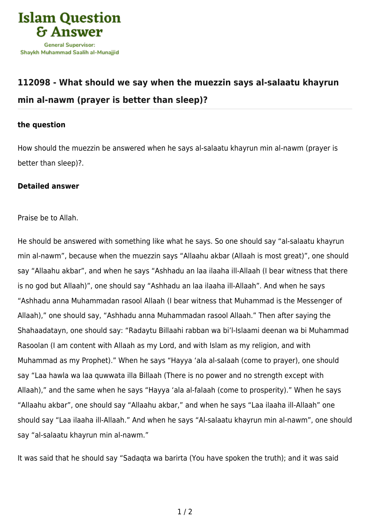

## **[112098 - What should we say when the muezzin says al-salaatu khayrun](https://islamqa.com/en/answers/112098/what-should-we-say-when-the-muezzin-says-al-salaatu-khayrun-min-al-nawm-prayer-is-better-than-sleep) [min al-nawm \(prayer is better than sleep\)?](https://islamqa.com/en/answers/112098/what-should-we-say-when-the-muezzin-says-al-salaatu-khayrun-min-al-nawm-prayer-is-better-than-sleep)**

## **the question**

How should the muezzin be answered when he says al-salaatu khayrun min al-nawm (prayer is better than sleep)?.

## **Detailed answer**

Praise be to Allah.

He should be answered with something like what he says. So one should say "al-salaatu khayrun min al-nawm", because when the muezzin says "Allaahu akbar (Allaah is most great)", one should say "Allaahu akbar", and when he says "Ashhadu an laa ilaaha ill-Allaah (I bear witness that there is no god but Allaah)", one should say "Ashhadu an laa ilaaha ill-Allaah". And when he says "Ashhadu anna Muhammadan rasool Allaah (I bear witness that Muhammad is the Messenger of Allaah)," one should say, "Ashhadu anna Muhammadan rasool Allaah." Then after saying the Shahaadatayn, one should say: "Radaytu Billaahi rabban wa bi'l-Islaami deenan wa bi Muhammad Rasoolan (I am content with Allaah as my Lord, and with Islam as my religion, and with Muhammad as my Prophet)." When he says "Hayya 'ala al-salaah (come to prayer), one should say "Laa hawla wa laa quwwata illa Billaah (There is no power and no strength except with Allaah)," and the same when he says "Hayya 'ala al-falaah (come to prosperity)." When he says "Allaahu akbar", one should say "Allaahu akbar," and when he says "Laa ilaaha ill-Allaah" one should say "Laa ilaaha ill-Allaah." And when he says "Al-salaatu khayrun min al-nawm", one should say "al-salaatu khayrun min al-nawm."

It was said that he should say "Sadaqta wa barirta (You have spoken the truth); and it was said